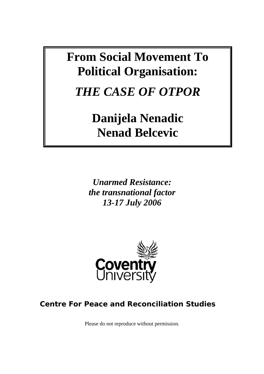# **From Social Movement To Political Organisation:**

*THE CASE OF OTPOR* 

**Danijela Nenadic Nenad Belcevic** 

*Unarmed Resistance: the transnational factor 13-17 July 2006* 



# **Centre For Peace and Reconciliation Studies**

Please do not reproduce without permission.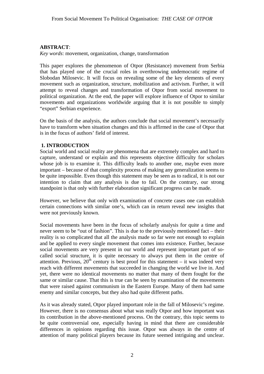#### **ABSTRACT**:

*Key words*: movement, organization, change, transformation

This paper explores the phenomenon of Otpor (Resistance) movement from Serbia that has played one of the crucial roles in overthrowing undemocratic regime of Slobodan Milosevic. It will focus on revealing some of the key elements of every movement such as organization, structure, mobilization and activism. Further, it will attempt to reveal changes and transformation of Otpor from social movement to political organization. At the end, the paper will explore influence of Otpor to similar movements and organizations worldwide arguing that it is not possible to simply "export" Serbian experience.

On the basis of the analysis, the authors conclude that social movement's necessarily have to transform when situation changes and this is affirmed in the case of Otpor that is in the focus of authors' field of interest.

#### **1. INTRODUCTION**

Social world and social reality are phenomena that are extremely complex and hard to capture, understand or explain and this represents objective difficulty for scholars whose job is to examine it. This difficulty leads to another one, maybe even more important – because of that complexity process of making any generalization seems to be quite impossible. Even though this statement may be seen as to radical, it is not our intention to claim that any analysis is due to fail. On the contrary, our strong standpoint is that only with further elaboration significant progress can be made.

However, we believe that only with examination of concrete cases one can establish certain connections with similar one's, which can in return reveal new insights that were not previously known.

Social movements have been in the focus of scholarly analysis for quite a time and never seem to be "out of fashion". This is due to the previously mentioned fact – their reality is so complicated that all the analysis made so far were not enough to explain and be applied to every single movement that comes into existence. Further, because social movements are very present in our world and represent important part of socalled social structure, it is quite necessary to always put them in the centre of attention. Previous,  $20^{th}$  century is best proof for this statement – it was indeed very reach with different movements that succeeded in changing the world we live in. And yet, there were no identical movements no matter that many of them fought for the same or similar cause. That this is true can be seen by examination of the movements that were raised against communism in the Eastern Europe. Many of them had same enemy and similar concepts, but they also had quite different paths.

As it was already stated, Otpor played important role in the fall of Milosevic's regime. However, there is no consensus about what was really Otpor and how important was its contribution in the above-mentioned process. On the contrary, this topic seems to be quite controversial one, especially having in mind that there are considerable differences in opinions regarding this issue. Otpor was always in the centre of attention of many political players because its future seemed intriguing and unclear.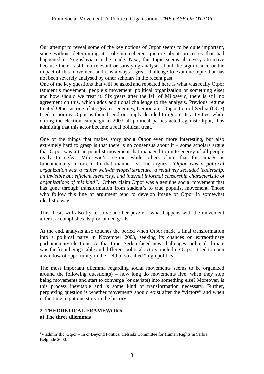Our attempt to reveal some of the key notions of Otpor seems to be quite important, since without determining its role no coherent picture about processes that had happened in Yugoslavia can be made. Next, this topic seems also very attractive because there is still no relevant or satisfying analysis about the significance or the impact of this movement and it is always a great challenge to examine topic that has not been severely analysed by other scholars in the recent past.

One of the key questions that will be asked and repeated here is what was really Otpor (student's movement, people's movement, political organization or something else) and how should we treat it. Six years after the fall of Milosevic, there is still no agreement on this, which adds additional challenge to the analysis. Previous regime treated Otpor as one of its greatest enemies, Democratic Opposition of Serbia (DOS) tried to portray Otpor as their friend or simply decided to ignore its activities, while during the election campaign in 2003 all political parties acted against Otpor, thus admitting that this actor became a real political treat.

One of the things that makes story about Otpor even more interesting, but also extremely hard to grasp is that there is no consensus about it – some scholars argue that Otpor was a true populist movement that managed to unite energy of all people ready to defeat Milosevic's regime, while others claim that this image is fundamentally incorrect. In that manner, V. Ilic argues: "*Otpor was a political organization with a rather well-developed structure, a relatively secluded leadership, an invisible but efficient hierarchy, and internal informal censorship characteristic of organizations of this kind*".<sup>1</sup> Others claim Otpor was a genuine social movement that has gone through transformation from student's to true populist movement. Those who follow this line of argument tend to develop image of Otpor in somewhat idealistic way.

This thesis will also try to solve another puzzle – what happens with the movement after it accomplishes its proclaimed goals.

At the end, analysis also touches the period when Otpor made a final transformation into a political party in November 2003, seeking its chances on extraordinary parliamentary elections. At that time, Serbia faced new challenges, political climate was far from being stable and different political actors, including Otpor, tried to open a window of opportunity in the field of so called "high politics".

The most important dilemma regarding social movements seems to be organized around the following question(s) – how long do movements live, when they stop being movements and start to converge (or deviate) into something else? Moreover, is this process inevitable and is some kind of transformation necessary. Further, perplexing question is whether movements should exist after the "victory" and when is the time to put one story in the history.

#### **2. THEORETICAL FRAMEWORK a) The three dilemmas**

 $\overline{a}$ <sup>1</sup>Vladimir Ilic, Otpor – In or Beyond Politics, Helsinki Committee for Human Rights in Serbia, Belgrade 2000.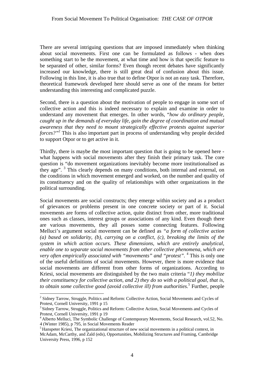There are several intriguing questions that are imposed immediately when thinking about social movements. First one can be formulated as follows - when does something start to be the movement, at what time and how is that specific feature to be separated of other, similar forms? Even though recent debates have significantly increased our knowledge, there is still great deal of confusion about this issue. Following in this line, it is also true that to define Otpor is not an easy task. Therefore, theoretical framework developed here should serve as one of the means for better understanding this interesting and complicated puzzle.

Second, there is a question about the motivation of people to engage in some sort of collective action and this is indeed necessary to explain and examine in order to understand any movement that emerges. In other words, "*how do ordinary people, caught up in the demands of everyday life, gain the degree of coordination and mutual awareness that they need to mount strategically effective protests against superior forces?"*<sup>2</sup> This is also important part in process of understanding why people decided to support Otpor or to get active in it.

Thirdly, there is maybe the most important question that is going to be opened here what happens with social movements after they finish their primary task. The core question is "do movement organizations inevitably become more institutionalised as they age". <sup>3</sup> This clearly depends on many conditions, both internal and external, on the conditions in which movement emerged and worked, on the number and quality of its constituency and on the quality of relationships with other organizations in the political surrounding.

Social movements are social constructs; they emerge within society and as a product of grievances or problems present in one concrete society or part of it. Social movements are forms of collective action, quite distinct from other, more traditional ones such as classes, interest groups or associations of any kind. Even though there are various movements, they all posses some connecting features. Following Melluci's argument social movement can be defined as *"a form of collective action (a) based on solidarity, (b), carrying on a conflict, (c), breaking the limits of the system in which action occurs. These dimensions, which are entirely analytical, enable one to separate social movements from other collective phenomena, which are very often empirically associated with "movements" and "protest".* <sup>4</sup> This is only one of the useful definitions of social movements. However, there is more evidence that social movements are different from other forms of organizations. According to Kriesi, social movements are distinguished by the two main criteria "*1) they mobilize their constituency for collective action, and 2) they do so with a political goal, that is, to obtain some collective good (avoid collective ill) from authorities.*<sup>5</sup> Further, people

<sup>&</sup>lt;sup>2</sup> Sidney Tarrow, Struggle, Politics and Reform: Collective Action, Social Movements and Cycles of

Protest, Cornell University, 1991 p 15<br>
<sup>3</sup> Sidney Tarrow, Struggle, Politics and Reform: Collective Action, Social Movements and Cycles of<br>
Protest, Cornell University, 1991 p 19

<sup>&</sup>lt;sup>4</sup> Alberto Melluci, The Symbolic Challenge of Contemporary Movements, Social Research, vol.52, No. 4 (Winter 1985), p 795, in Social Movements Reader<br><sup>5</sup> Hanspeter Kriesi, The organizational structure of new social movements in a political context, in

McAdam, McCarthy, and Zald (eds), Opportunities, Mobilizing Structures and Framing, Cambridge University Press, 1996, p 152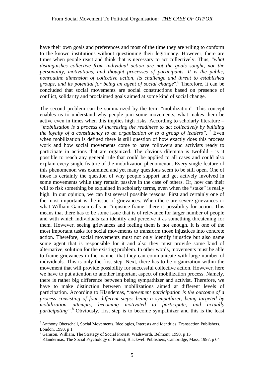have their own goals and preferences and most of the time they are wiling to conform to the known institutions without questioning their legitimacy. However, there are times when people react and think that is necessary to act collectively. Thus, "*what distinguishes collective from individual action are not the goals sought, nor the personality, motivations, and thought processes of participants. It is the public, nonroutine dimension of collective action, its challenge and threat to established groups, and its potential for being an agent of social change*".6 Therefore, it can be concluded that social movements are social constructions based on presence of conflict, solidarity and proclaimed goals aimed at some kind of social change.

The second problem can be summarized by the term "mobilization". This concept enables us to understand why people join some movements, what makes them be active even in times when this implies high risks. According to scholarly literature – *"mobilization is a process of increasing the readiness to act collectively by building the loyalty of a constituency to an organization or to a group of leaders*". <sup>7</sup> Even when mobilization is defined there is still question of how exactly does this process work and how social movements come to have followers and activists ready to participate in actions that are organized. The obvious dilemma is twofold - is it possible to reach any general rule that could be applied to all cases and could also explain every single feature of the mobilization phenomenon. Every single feature of this phenomenon was examined and yet many questions seem to be still open. One of those is certainly the question of why people support and get actively involved in some movements while they remain passive in the case of others. Or, how can their will to risk something be explained in scholarly terms, even when the "stake" is really high. In our opinion, we can list several possible reasons. First and certainly one of the most important is the issue of grievances. When there are severe grievances or what William Gamson calls an "injustice frame" there is possibility for action. This means that there has to be some issue that is of relevance for larger number of people and with which individuals can identify and perceive it as something threatening for them. However, seeing grievances and feeling them is not enough. It is one of the most important tasks for social movements to transform those injustices into concrete action. Therefore, social movements must not only identify injustice but also name some agent that is responsible for it and also they must provide some kind of alternative, solution for the existing problem. In other words, movements must be able to frame grievances in the manner that they can communicate with large number of individuals. This is only the first step. Next, there has to be organization within the movement that will provide possibility for successful collective action. However, here we have to put attention to another important aspect of mobilization process. Namely, there is rather big difference between being sympathizer and activist. Therefore, we have to make distinction between mobilizations aimed at different levels of participation. According to Klandemas, "*movement participation is the outcome of a process consisting of four different steps: being a sympathizer, being targeted by mobilization attempts, becoming motivated to participate, and actually* participating".<sup>8</sup> Obviously, first step is to become sympathizer and this is the least

<sup>6</sup> Anthony Oberschall, Social Movements, Ideologies, Interests and Identities, Transaction Publishers, London,  $1993$ , p  $1$ 

 $\frac{7}{7}$  Gamson, William, The Strategy of Social Protest, Wadsworth, Belmont, 1990, p 15

<sup>&</sup>lt;sup>8</sup> Klandermas, The Social Psychology of Protest, Blackwell Publishers, Cambridge, Mass, 1997, p 64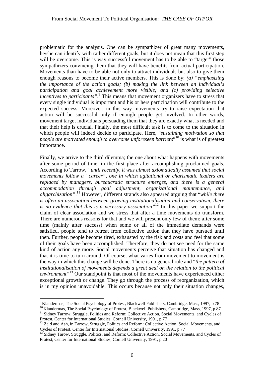problematic for the analysis. One can be sympathizer of great many movements, he/she can identify with rather different goals, but it does not mean that this first step will be overcome. This is way successful movement has to be able to "target" those sympathizers convincing them that they will have benefits from actual participation. Movements than have to be able not only to attract individuals but also to give them enough reasons to become their active members. This is done by: *(a) "emphasizing the importance of the action goals; (b) making the link between an individual's participation and goal achievement more visible; and (c) providing selective incentives to participants*".<sup>9</sup> This means that movement organizers have to stress that every single individual is important and his or hers participation will contribute to the expected success. Moreover, in this way movements try to raise expectation that action will be successful only if enough people get involved. In other words, movement target individuals persuading them that they are exactly what is needed and that their help is crucial. Finally, the most difficult task is to come to the situation in which people will indeed decide to participate. Here, "*sustaining motivation so that people are motivated enough to overcome unforeseen barriers*" 10 is what is of greatest importance.

Finally, we arrive to the third dilemma; the one about what happens with movements after some period of time, in the first place after accomplishing proclaimed goals. According to Tarrow, *"until recently, it was almost axiomatically assumed that social movements follow a "career", one in which agitational or charismatic leaders are replaced by managers, bureaucratic structure emerges, and there is a general accommodation through goal adjustment, organizational maintenance, and oligarchization"*. 11 However, different strands also appeared arguing that "*while there is often an association between growing institutionalisation and conservatism, there is no evidence that this is a necessary association"*<sup>12</sup> In this paper we support the claim of clear association and we stress that after a time movements do transform. There are numerous reasons for that and we will present only few of them: after some time (mainly after success) when some or all of the immediate demands were satisfied, people tend to retreat from collective action that they have pursued until then. Further, people become tired, exhausted by the risk and costs and feel that some of their goals have been accomplished. Therefore, they do not see need for the same kind of action any more. Social movements perceive that situation has changed and that it is time to turn around. Of course, what varies from movement to movement is the way in which this change will be done. There is no general rule and "*the pattern of institutionalisation of movements depends a great deal on the relation to the political environment"*<sup>13</sup> Our standpoint is that most of the movements have experienced either exceptional growth or change. They go through the process of reorganization, which is in my opinion unavoidable. This occurs because not only their situation changes,

<sup>&</sup>lt;sup>9</sup> Klandermas, The Social Psychology of Protest, Blackwell Publishers, Cambridge, Mass, 1997, p 78<br><sup>10</sup> Klandermas, The Social Psychology of Protest, Blackwell Publishers, Cambridge, Mass, 1997, p 87<br><sup>11</sup> Sidney Tarrow,

 $12$  Zald and Ash, in Tarrow, Struggle, Politics and Reform: Collective Action, Social Movements, and Cycles of Protest, Center for International Studies, Cornell University, 1991, p 77

Sidney Tarow, Struggle, Politics, and Reform: Collective Action, Social Movements, and Cycles of Protest, Center for International Studies, Cornell University, 1991, p 20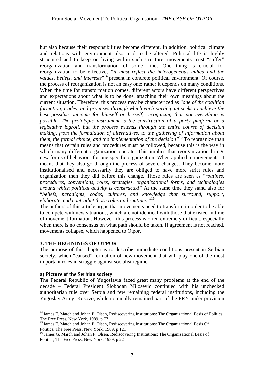but also because their responsibilities become different. In addition, political climate and relations with environment also tend to be altered. Political life is highly structured and to keep on living within such structure, movements must "suffer" reorganization and transformation of some kind. One thing is crucial for reorganization to be effective, *"it must reflect the heterogeneous milieu and the*  values, beliefs, and interests<sup>"14</sup> present in concrete political environment. Of course, the process of reorganization is not an easy one; rather it depends on many conditions. When the time for transformation comes, different actors have different perspectives and expectations about what is to be done, attaching their own meanings about the current situation. Therefore, this process may be characterized as "*one of the coalition formation, trades, and promises through which each participant seeks to achieve the best possible outcome for himself or herself, recognizing that not everything is possible. The prototypic instrument is the construction of a party platform or a legislative logroll, but the process extends through the entire course of decision making, from the formulation of alternatives, to the gathering of information about them, the formal choice, and the implementation of the decision"*<sup>15</sup> To reorganize than means that certain rules and procedures must be followed, because this is the way in which many different organization operate. This implies that reorganization brings new forms of behaviour for one specific organization. When applied to movements, it means that they also go through the process of severe changes. They become more institutionalised and necessarily they are obliged to have more strict rules and organization then they did before this change. Those rules are seen as "*routines, procedures, conventions, roles, strategies, organizational forms, and technologies around which political activity is constructed"* At the same time they stand also for "*beliefs, paradigms, codes, cultures, and knowledge that surround, support, elaborate, and contradict those roles and routines."*<sup>16</sup>

The authors of this article argue that movements need to transform in order to be able to compete with new situations, which are not identical with those that existed in time of movement formation. However, this process is often extremely difficult, especially when there is no consensus on what path should be taken. If agreement is not reached, movements collapse, which happened to Otpor.

#### **3. THE BEGININGS OF OTPOR**

The purpose of this chapter is to describe immediate conditions present in Serbian society, which "caused" formation of new movement that will play one of the most important roles in struggle against socialist regime.

#### **a) Picture of the Serbian society**

 $\overline{a}$ 

The Federal Republic of Yugoslavia faced great many problems at the end of the decade – Federal President Slobodan Milosevic continued with his unchecked authoritarian rule over Serbia and few remaining federal institutions, including the Yugoslav Army. Kosovo, while nominally remained part of the FRY under provision

<sup>&</sup>lt;sup>14</sup> James F. March and Johan P. Olsen, Rediscovering Institutions: The Organizational Basis of Politics, The Free Press, New York, 1989, p. 77

<sup>&</sup>lt;sup>15</sup> James F. March and Johan P. Olsen, Rediscovering Institutions: The Organizational Basis Of Politics. The Free Press, New York, 1989, p 121

<sup>&</sup>lt;sup>16</sup> James G. March and Johan P. Olsen, Rediscovering Institutions: The Organizational Basis of Politics, The Free Press, New York, 1989, p 22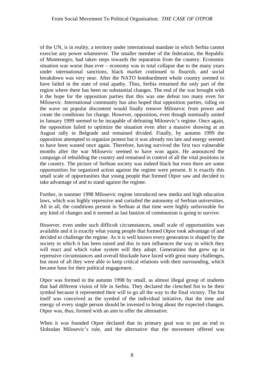of the UN, is in reality, a territory under international mandate in which Serbia cannot exercise any power whatsoever. The smaller member of the federation, the Republic of Montenegro, had taken steps towards the separation from the country. Economic situation was worse than ever – economy was in total collapse due to the many years under international sanctions, black market continued to flourish, and social breakdown was very near. After the NATO bombardment whole country seemed to have failed in the state of total apathy. Thus, Serbia remained the only part of the region where there has been no substantial changes. The end of the war brought with it the hope for the opposition parties that this was one defeat too many even for Milosevic. International community has also hoped that opposition parties, riding on the wave on popular discontent would finally remove Milosevic from power and create the conditions for change. However, opposition, even though nominally united in January 1999 seemed to be incapable of defeating Milosevic's regime. Once again, the opposition failed to optimize the situation even after a massive showing at an August rally in Belgrade and remained divided. Finally, by autumn 1999 the opposition attempted to organize protest but it was already too late and energy seemed to have been wasted once again. Therefore, having survived the first two vulnerable months after the war Milosevic seemed to have won again. He announced the campaign of rebuilding the country and remained in control of all the vital positions in the country. The picture of Serbian society was indeed black but even there are some opportunities for organized action against the regime were present. It is exactly this small scale of opportunities that young people that formed Otpor saw and decided to take advantage of and to stand against the regime.

Further, in summer 1998 Milosevic regime introduced new media and high education laws, which was highly repressive and curtailed the autonomy of Serbian universities. All in all, the conditions present in Serbian at that time were highly unfavorable for any kind of changes and it seemed as last bastion of communism is going to survive.

However, even under such difficult circumstances, small scale of opportunities was available and it is exactly what young people that formed Otpor took advantage of and decided to challenge the regime. As it is well known every generation is shaped by the society in which it has been raised and this in turn influences the way in which they will react and which value system will they adopt. Generations that grew up in repressive circumstances and overall blockade have faced with great many challenges, but most of all they were able to keep critical relations with their surrounding, which became base for their political engagement.

Otpor was formed in the autumn 1998 by small, as almost illegal group of students that had different vision of life in Serbia. They declared the clenched fist to be their symbol because it represented their will to go all the way to the final victory. The fist itself was conceived as the symbol of the individual initiative, that the time and energy of every single person should be invested to bring about the expected changes. Otpor was, thus, formed with an aim to offer the alternative.

When it was founded Otpor declared that its primary goal was to put an end to Slobodan Milosevic's rule, and the alternative that the movement offered was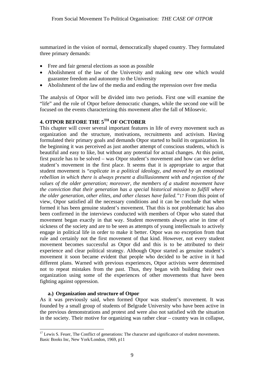summarized in the vision of normal, democratically shaped country. They formulated three primary demands:

- Free and fair general elections as soon as possible
- Abolishment of the law of the University and making new one which would guarantee freedom and autonomy to the University
- Abolishment of the law of the media and ending the repression over free media

The analysis of Otpor will be divided into two periods. First one will examine the "life" and the role of Otpor before democratic changes, while the second one will be focused on the events characterizing this movement after the fall of Milosevic.

### **4. OTPOR BEFORE THE 5TH OF OCTOBER**

This chapter will cover several important features in life of every movement such as organization and the structure, motivations, recruitments and activism. Having formulated their primary goals and demands Otpor started to build its organization. In the beginning it was perceived as just another attempt of conscious students, which is beautiful and easy to like, but without any potential for actual changes. At this point, first puzzle has to be solved – was Otpor student's movement and how can we define student's movement in the first place. It seems that it is appropriate to argue that student movement is "*explicate in a political ideology, and moved by an emotional rebellion in which there is always present a disillusionment with and rejection of the values of the older generation; moreover, the members of a student movement have the conviction that their generation has a special historical mission to fulfill where the older generation, other elites, and other classes have failed."*17 From this point of view, Otpor satisfied all the necessary conditions and it can be conclude that when formed it has been genuine student's movement. That this is not problematic has also been confirmed in the interviews conducted with members of Otpor who stated that movement began exactly in that way. Student movements always arise in time of sickness of the society and are to be seen as attempts of young intellectuals to actively engage in political life in order to make it better. Otpor was no exception from that rule and certainly not the first movement of that kind. However, not every student movement becomes successful as Otpor did and this is to be attributed to their experience and clear political strategy. Although Otpor started as genuine student's movement it soon became evident that people who decided to be active in it had different plans. Warned with previous experiences, Otpor activists were determined not to repeat mistakes from the past. Thus, they began with building their own organization using some of the experiences of other movements that have been fighting against oppression.

#### **a.) Organization and structure of Otpor**

As it was previously said, when formed Otpor was student's movement. It was founded by a small group of students of Belgrade University who have been active in the previous demonstrations and protest and were also not satisfied with the situation in the society. Their motive for organizing was rather clear – country was in collapse,

 $\overline{a}$  $17$  Lewis S. Feuer, The Conflict of generations: The character and significance of student movements. Basic Books Inc, New York/London, 1969, p11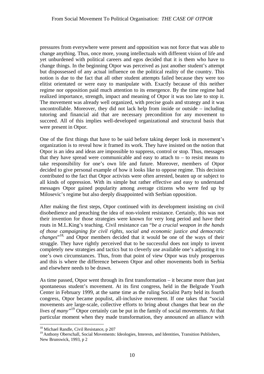pressures from everywhere were present and opposition was not force that was able to change anything. Thus, once more, young intellectuals with different vision of life and yet unburdened with political careers and egos decided that it is them who have to change things. In the beginning Otpor was perceived as just another student's attempt but dispossessed of any actual influence on the political reality of the country. This notion is due to the fact that all other student attempts failed because they were too elitist orientated or were easy to manipulate with. Exactly because of this neither regime nor opposition paid much attention to its emergence. By the time regime had realized importance, strength, impact and meaning of Otpor it was too late to stop it. The movement was already well organized, with precise goals and strategy and it was uncontrollable. Moreover, they did not lack help from inside or outside – including tutoring and financial aid that are necessary precondition for any movement to succeed. All of this implies well-developed organizational and structural basis that were present in Otpor.

One of the first things that have to be said before taking deeper look in movement's organization is to reveal how it framed its work. They have insisted on the notion that Otpor is an idea and ideas are impossible to suppress, control or stop. Thus, messages that they have spread were communicable and easy to attach to  $-$  to resist means to take responsibility for one's own life and future. Moreover, members of Otpor decided to give personal example of how it looks like to oppose regime. This decision contributed to the fact that Otpor activists were often arrested, beaten up or subject to all kinds of oppression. With its simple but rather effective and easy to understand messages Otpor gained popularity among average citizens who were fed up by Milosevic's regime but also deeply disappointed with Serbian opposition.

After making the first steps, Otpor continued with its development insisting on civil disobedience and preaching the idea of non-violent resistance. Certainly, this was not their invention for those strategies were known for very long period and have their routs in M.L.King's teaching. Civil resistance can "*be a crucial weapon in the hands of those campaigning for civil rights, social and economic justice and democratic changes*" 18, and Otpor members decided that it would be one of the ways of their struggle. They have rightly perceived that to be successful does not imply to invent completely new strategies and tactics but to cleverly use available one's adjusting it to one's own circumstances. Thus, from that point of view Otpor was truly prosperous and this is where the difference between Otpor and other movements both in Serbia and elsewhere needs to be drawn.

As time passed, Otpor went through its first transformation – it became more than just spontaneous student's movement. At its first congress, held in the Belgrade Youth Center in February 1999, at the same time as the ruling Socialist Party held its fourth congress, Otpor became populist, all-inclusive movement. If one takes that "social movements are large-scale, collective efforts to bring about changes that bear on *the lives of many*<sup>"19</sup> Otpor certainly can be put in the family of social movements. At that particular moment when they made transformation, they announced an alliance with

<sup>18</sup> Michael Randle, Civil Resistance, p 207

<sup>&</sup>lt;sup>19</sup> Anthony Oberschall, Social Movements: Ideologies, Interests, and Identities, Transition Publishers, New Brunswick, 1993, p 2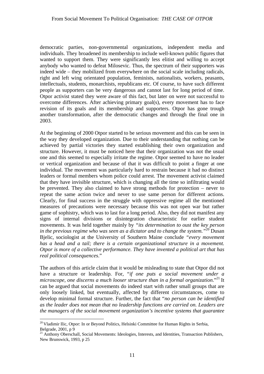democratic parties, non-governmental organizations, independent media and individuals. They broadened its membership to include well-known public figures that wanted to support them. They were significantly less elitist and willing to accept anybody who wanted to defeat Milosevic. Thus, the spectrum of their supporters was indeed wide – they mobilized from everywhere on the social scale including radicals, right and left wing orientated population, feminists, nationalists, workers, peasants, intellectuals, students, monarchists, republicans etc. Of course, to have such different people as supporters can be very dangerous and cannot last for long period of time. Otpor activist stated they were aware of this fact, but later on were not successful to overcome differences. After achieving primary goal(s), every movement has to face revision of its goals and its membership and supporters. Otpor has gone trough another transformation, after the democratic changes and through the final one in 2003.

At the beginning of 2000 Otpor started to be serious movement and this can be seen in the way they developed organization. Due to their understanding that nothing can be achieved by partial victories they started establishing their own organization and structure. However, it must be noticed here that their organization was not the usual one and this seemed to especially irritate the regime. Otpor seemed to have no leader or vertical organization and because of that it was difficult to point a finger at one individual. The movement was particularly hard to restrain because it had no distinct leaders or formal members whom police could arrest. The movement activist claimed that they have invisible structure, which is changing all the time so infiltrating would be prevented. They also claimed to have strong methods for protection – never to repeat the same action twice and never to use same person for different actions. Clearly, for final success in the struggle with oppressive regime all the mentioned measures of precautions were necessary because this was not open war but rather game of sophistry, which was to last for a long period. Also, they did not manifest any signs of internal divisions or disintegration characteristic for earlier student movements. It was held together mainly by *"its determination to oust the key person in the previous regime who was seen as a dictator and to change the system."*20 Dusan Bjelic, sociologist at the University of Southern Maine conclude *"every movement has a head and a tail; there is a certain organizational structure in a movement. Otpor is more of a collective performance. They have invented a political art that has real political consequences*."

The authors of this article claim that it would be misleading to state that Otpor did not have a structure or leadership. For, "*if one puts a social movement under a microscope, one discerns a much looser structure than in a formal organization.*"<sup>21</sup> It can be argued that social movements do indeed start with rather small groups that are only loosely linked, but eventually, affected by different circumstances, come to develop minimal formal structure. Further, the fact that "*no person can be identified as the leader does not mean that no leadership functions are carried on. Leaders are the managers of the social movement organization's incentive systems that guarantee* 

<sup>&</sup>lt;sup>20</sup> Vladimir Ilic, Otpor: In or Beyond Politics, Helsinki Committee for Human Rights in Serbia, Belgrade, 2001, p 9<br><sup>21</sup> Anthony Oberschall, Social Movements: Ideologies, Interests, and Identities, Transaction Publishers,

New Brunswick, 1993, p 25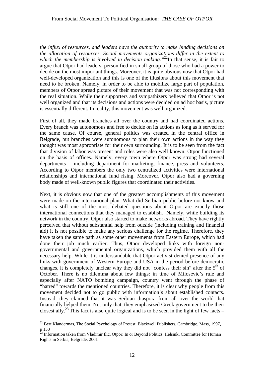*the influx of resources, and leaders have the authority to make binding decisions on the allocation of resources. Social movements organizations differ in the extent to which the membership is involved in decision making.*"<sup>22</sup>In that sense, it is fair to argue that Otpor had leaders, personified in small group of those who had a power to decide on the most important things. Moreover, it is quite obvious now that Otpor had well-developed organization and this is one of the illusions about this movement that need to be broken. Namely, in order to be able to mobilize large part of population, members of Otpor spread picture of their movement that was not corresponding with the real situation. While their supporters and sympathizers believed that Otpor is not well organized and that its decisions and actions were decided on ad hoc basis, picture is essentially different. In reality, this movement was well organized.

First of all, they made branches all over the country and had coordinated actions. Every branch was autonomous and free to decide on its actions as long as it served for the same cause. Of course, general politics was created in the central office in Belgrade, but branches were autonomous to plan their own actions in the way they thought was most appropriate for their own surrounding. It is to be seen from the fact that division of labor was present and roles were also well known. Otpor functioned on the basis of offices. Namely, every town where Otpor was strong had several departments – including department for marketing, finance, press and volunteers. According to Otpor members the only two centralized activities were international relationships and international fund rising. Moreover, Otpor also had a governing body made of well-known public figures that coordinated their activities.

Next, it is obvious now that one of the greatest accomplishments of this movement were made on the international plan. What did Serbian public before not know and what is still one of the most debated questions about Otpor are exactly those international connections that they managed to establish. Namely, while building its network in the country, Otpor also started to make networks abroad. They have rightly perceived that without substantial help from outside (including training and financial aid) it is not possible to make any serious challenge for the regime. Therefore, they have taken the same path as some other movements from Eastern Europe, which had done their job much earlier. Thus, Otpor developed links with foreign nongovernmental and governmental organizations, which provided them with all the necessary help. While it is understandable that Otpor activist denied presence of any links with government of Western Europe and USA in the period before democratic changes, it is completely unclear why they did not "confess their sin" after the  $5<sup>th</sup>$  of October. There is no dilemma about few things: in time of Milosevic's rule and especially after NATO bombing campaign, country went through the phase of "hatred" towards the mentioned countries. Therefore, it is clear why people from this movement decided not to go public with information's about established contacts. Instead, they claimed that it was Serbian diaspora from all over the world that financially helped them. Not only that, they emphasized Greek government to be their closest ally.<sup>23</sup> This fact is also quite logical and is to be seen in the light of few facts –

 $^{22}$  Bert Klandermas, The Social Psychology of Protest, Blackwell Publishers, Cambridge, Mass, 1997, p 133 23 Information taken from Vladimir Ilic, Otpor: In or Beyond Politics, Helsinki Committee for Human

Rights in Serbia, Belgrade, 2001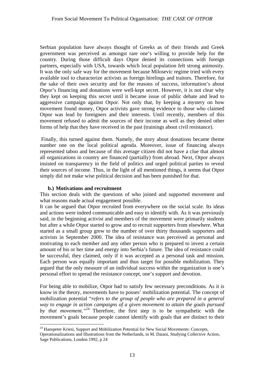Serbian population have always thought of Greeks as of their friends and Greek government was perceived as amongst rare one's willing to provide help for the country. During those difficult days Otpor denied its connections with foreign partners, especially with USA, towards which local population felt strong animosity. It was the only safe way for the movement because Milosevic regime tried with every available tool to characterize activists as foreign hirelings and traitors. Therefore, for the sake of their own security and for the reasons of success, information's about Otpor's financing and donations were well-kept secret. However, it is not clear why they kept on keeping this secret until it became issue of public debate and lead to aggressive campaign against Otpor. Not only that, by keeping a mystery on how movement found money, Otpor activists gave strong evidence to those who claimed Otpor was lead by foreigners and their interests. Until recently, members of this movement refused to admit the sources of their income as well as they denied other forms of help that they have received in the past (trainings about civil resistance).

Finally, this turned against them. Namely, the story about donations became theme number one on the local political agenda. Moreover, issue of financing always represented taboo and because of this average citizen did not have a clue that almost all organizations in country are financed (partially) from abroad. Next, Otpor always insisted on transparency in the field of politics and urged political parties to reveal their sources of income. Thus, in the light of all mentioned things, it seems that Otpor simply did not make wise political decision and has been punished for that.

#### **b.) Motivations and recruitment**

 $\overline{a}$ 

This section deals with the questions of who joined and supported movement and what reasons made actual engagement possible.

It can be argued that Otpor recruited from everywhere on the social scale. Its ideas and actions were indeed communicable and easy to identify with. As it was previously said, in the beginning activist and members of the movement were primarily students but after a while Otpor started to grow and to recruit supporters from elsewhere. What started as a small group grew to the number of over thirty thousands supporters and activists in September 2000. The idea of resistance was perceived as personal and motivating to each member and any other person who is prepared to invest a certain amount of his or her time and energy into Serbia's future. The idea of resistance could be successful, they claimed, only if it was accepted as a personal task and mission. Each person was equally important and thus target for possible mobilization. They argued that the only measure of an individual success within the organization is one's personal effort to spread the resistance concept, one's support and devotion.

For being able to mobilize, Otpor had to satisfy few necessary preconditions. As it is know in the theory, movements have to posses' mobilization potential. The concept of mobilization potential "*refers to the group of people who are prepared in a general way to engage in action campaigns of a given movement to attain the goals pursued*  by *that movement.*<sup>24</sup> Therefore, the first step is to be sympathetic with the movement's goals because people cannot identify with goals that are distinct to their

 $24$  Hanspeter Kriesi, Support and Mobilization Potential for New Social Movements: Concepts,

Operationalizations and Illustrations from the Netherlands, in M. Daiani, Studying Collective Action, Sage Publications, London 1992, p 24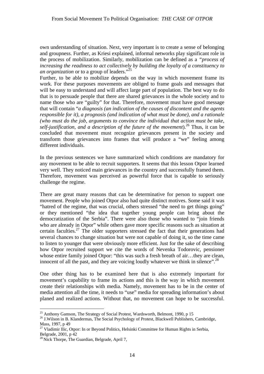own understanding of situation. Next, very important is to create a sense of belonging and groupness. Further, as Kriesi explained, informal networks play significant role in the process of mobilization. Similarly, mobilization can be defined as a *"process of increasing the readiness to act collectively by building the loyalty of a constituency to an organization* or to a group of leaders."<sup>25</sup>

Further, to be able to mobilize depends on the way in which movement frame its work. For these purposes movements are obliged to frame goals and messages that will be easy to understand and will affect large part of population. The best way to do that is to persuade people that there are shared grievances in the whole society and to name those who are "guilty" for that. Therefore, movement must have good message that will contain "*a diagnosis (an indication of the causes of discontent and the agents responsible for it), a prognosis (and indication of what must be done), and a rationale (who must do the job, arguments to convince the individual that action must be take, self-justification, and a description of the future of the movement*).26 Thus, it can be concluded that movement must recognize grievances present in the society and transform those grievances into frames that will produce a "we" feeling among different individuals.

In the previous sentences we have summarized which conditions are mandatory for any movement to be able to recruit supporters. It seems that this lesson Otpor learned very well. They noticed main grievances in the country and successfully framed them. Therefore, movement was perceived as powerful force that is capable to seriously challenge the regime.

There are great many reasons that can be determinative for person to support one movement. People who joined Otpor also had quite distinct motives. Some said it was "hatred of the regime, that was crucial, others stressed "the need to get things going" or they mentioned "the idea that together young people can bring about the democratization of the Serbia". There were also those who wanted to "join friends who are already in Otpor" while others gave more specific reasons such as situation at certain faculties.<sup>27</sup> The older supporters stressed the fact that their generations had several chances to change situation but were not capable of doing it, so the time came to listen to younger that were obviously more efficient. Just for the sake of describing how Otpor recruited support we cite the words of Nevenka Todorovic, pensioner whose entire family joined Otpor: "this was such a fresh breath of air...they are clean, innocent of all the past, and they are voicing loudly whatever we think in silence".<sup>28</sup>

One other thing has to be examined here that is also extremely important for movement's capability to frame its actions and this is the way in which movement create their relationships with media. Namely, movement has to be in the center of media attention all the time, it needs to "use" media for spreading information's about planed and realized actions. Without that, no movement can hope to be successful.

<sup>&</sup>lt;sup>25</sup> Anthony Gamson, The Strategy of Social Protest, Wardsworth, Belmont, 1990, p 15

<sup>&</sup>lt;sup>26</sup> J. Wilson in B. Klandermas, The Social Psychology of Protest, Blackwell Publishers, Cambridge, Mass, 1997, p 49<br><sup>27</sup> Vladimir Ilic, Otpor: In or Beyond Politics, Helsinki Committee for Human Rights in Serbia,

Belgrade, 2001, p 42<br><sup>28</sup> Nick Thorpe, The Guardian, Belgrade, April 7,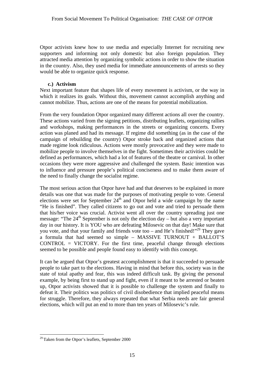Otpor activists knew how to use media and especially Internet for recruiting new supporters and informing not only domestic but also foreign population. They attracted media attention by organizing symbolic actions in order to show the situation in the country. Also, they used media for immediate announcements of arrests so they would be able to organize quick response.

#### **c.) Activism**

Next important feature that shapes life of every movement is activism, or the way in which it realizes its goals. Without this, movement cannot accomplish anything and cannot mobilize. Thus, actions are one of the means for potential mobilization.

From the very foundation Otpor organized many different actions all over the country. These actions varied from the signing petitions, distributing leaflets, organizing rallies and workshops, making performances in the streets or organizing concerts. Every action was planed and had its message. If regime did something (as in the case of the campaign of rebuilding the country) Otpor stroke back and organized actions that made regime look ridiculous. Actions were mostly provocative and they were made to mobilize people to involve themselves in the fight. Sometimes their activities could be defined as performances, which had a lot of features of the theatre or carnival. In other occasions they were more aggressive and challenged the system. Basic intention was to influence and pressure people's political conciseness and to make them aware of the need to finally change the socialist regime.

The most serious action that Otpor have had and that deserves to be explained in more details was one that was made for the purposes of motivating people to vote. General elections were set for September  $24<sup>th</sup>$  and Otpor held a wide campaign by the name "He is finished". They called citizens to go out and vote and tried to persuade them that his/her voice was crucial. Activist went all over the country spreading just one message: "The  $24<sup>th</sup>$  September is not only the election day – but also a very important day in our history. It is YOU who are defeating Milosevic on that day! Make sure that you vote, and that your family and friends vote too – and He's finished!"<sup>29</sup> They gave a formula that had seemed so simple – MASSIVE TURNOUT + BALLOT'S  $CONTROL = VICTORY$ . For the first time, peaceful change through elections seemed to be possible and people found easy to identify with this concept.

It can be argued that Otpor's greatest accomplishment is that it succeeded to persuade people to take part to the elections. Having in mind that before this, society was in the state of total apathy and fear, this was indeed difficult task. By giving the personal example, by being first to stand up and fight, even if it meant to be arrested or beaten up, Otpor activists showed that it is possible to challenge the system and finally to defeat it. Their politics was politics of civil disobedience that implied peaceful means for struggle. Therefore, they always repeated that what Serbia needs are fair general elections, which will put an end to more than ten years of Milosevic's rule.

 $29$  Taken from the Otpor's leaflets, September 2000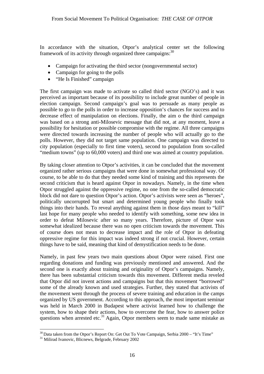In accordance with the situation, Otpor's analytical center set the following framework of its activity through organized three campaigns:  $30$ 

- Campaign for activating the third sector (nongovernmental sector)
- Campaign for going to the polls
- "He Is Finished" campaign

The first campaign was made to activate so called third sector (NGO's) and it was perceived as important because of its possibility to include great number of people in election campaign. Second campaign's goal was to persuade as many people as possible to go to the polls in order to increase opposition's chances for success and to decrease effect of manipulation on elections. Finally, the aim o the third campaign was based on a strong anti-Milosevic message that did not, at any moment, leave a possibility for hesitation or possible compromise with the regime. All three campaigns were directed towards increasing the number of people who will actually go to the polls. However, they did not target same population. One campaign was directed to city population (especially to first time voters), second to population from so-called "medium towns" (up to 60,000 voters) and third one was aimed at country population.

By taking closer attention to Otpor's activities, it can be concluded that the movement organized rather serious campaigns that were done in somewhat professional way. Of course, to be able to do that they needed some kind of training and this represents the second criticism that is heard against Otpor in nowadays. Namely, in the time when Otpor struggled against the oppressive regime, no one from the so-called democratic block did not dare to question Otpor's action. Otpor's activists were seen as "heroes", politically uncorrupted but smart and determined young people who finally took things into their hands. To reveal anything against them in those days meant to "kill" last hope for many people who needed to identify with something, some new idea in order to defeat Milosevic after so many years. Therefore, picture of Otpor was somewhat idealized because there was no open criticism towards the movement. This of course does not mean to decrease impact and the role of Otpor in defeating oppressive regime for this impact was indeed strong if not crucial. However, certain things have to be said, meaning that kind of demystification needs to be done.

Namely, in past few years two main questions about Otpor were raised. First one regarding donations and funding was previously mentioned and answered. And the second one is exactly about training and originality of Otpor's campaigns. Namely, there has been substantial criticism towards this movement. Different media reveled that Otpor did not invent actions and campaigns but that this movement "borrowed" some of the already known and used strategies. Further, they stated that activists of the movement went through the process of severe training and education in the camps organized by US government. According to this approach, the most important seminar was held in March 2000 in Budapest where activist learned how to challenge the system, how to shape their actions, how to overcome the fear, how to answer police questions when arrested etc.<sup>31</sup> Again, Otpor members seem to made same mistake as

 $\overline{a}$  $30$  Data taken from the Otpor's Report On: Get Out To Vote Campaign, Serbia 2000 – "It's Time"  $31$  Milirad Ivanovic, Blicnews, Belgrade, February 2002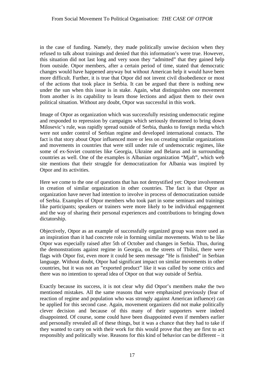in the case of funding. Namely, they made politically unwise decision when they refused to talk about trainings and denied that this information's were true. However, this situation did not last long and very soon they "admitted" that they gained help from outside. Otpor members, after a certain period of time, stated that democratic changes would have happened anyway but without American help it would have been more difficult. Further, it is true that Otpor did not invent civil disobedience or most of the actions that took place in Serbia. It can be argued that there is nothing new under the sun when this issue is in stake. Again, what distinguishes one movement from another is its capability to learn those lections and adjust them to their own political situation. Without any doubt, Otpor was successful in this work.

Image of Otpor as organization which was successfully resisting undemocratic regime and responded to repression by campaigns which seriously threatened to bring down Milosevic's rule, was rapidly spread outside of Serbia, thanks to foreign media which were not under control of Serbian regime and developed international contacts. The fact is that story about Otpor influenced more or less on creating similar organizations and movements in countries that were still under rule of undemocratic regimes, like some of ex-Soviet countries like Georgia, Ukraine and Belarus and in surrounding countries as well. One of the examples is Albanian organization "Mjaft", which web site mentions that their struggle for democratization for Albania was inspired by Otpor and its activities.

Here we come to the one of questions that has not demystified yet: Otpor involvement in creation of similar organization in other countries. The fact is that Otpor as organization have never had intention to involve in process of democratization outside of Serbia. Examples of Otpor members who took part in some seminars and trainings like participants; speakers or trainers were more likely to be individual engagement and the way of sharing their personal experiences and contributions to bringing down dictatorship.

Objectively, Otpor as an example of successfully organized group was more used as an inspiration than it had concrete role in forming similar movements. Wish to be like Otpor was especially raised after 5th of October and changes in Serbia. Thus, during the demonstrations against regime in Georgia, on the streets of Tbilisi, there were flags with Otpor fist, even more it could be seen message "He is finished" in Serbian language. Without doubt, Otpor had significant impact on similar movements in other countries, but it was not an "exported product" like it was called by some critics and there was no intention to spread idea of Otpor on that way outside of Serbia.

Exactly because its success, it is not clear why did Otpor's members make the two mentioned mistakes. All the same reasons that were emphasized previously (fear of reaction of regime and population who was strongly against American influence) can be applied for this second case. Again, movement organizers did not make politically clever decision and because of this many of their supporters were indeed disappointed. Of course, some could have been disappointed even if members earlier and personally revealed all of these things, but it was a chance that they had to take if they wanted to carry on with their work for this would prove that they are first to act responsibly and politically wise. Reasons for this kind of behavior can be different – it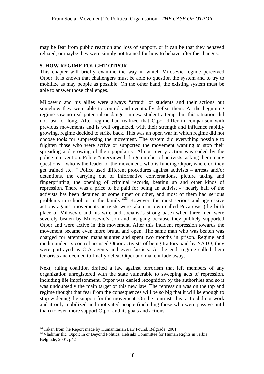may be fear from public reaction and loss of support, or it can be that they behaved relaxed, or maybe they were simply not trained for how to behave after the changes.

#### **5. HOW REGIME FOUGHT OTPOR**

This chapter will briefly examine the way in which Milosevic regime perceived Otpor. It is known that challengers must be able to question the system and to try to mobilize as may people as possible. On the other hand, the existing system must be able to answer those challenges.

Milosevic and his allies were always "afraid" of students and their actions but somehow they were able to control and eventually defeat them. At the beginning regime saw no real potential or danger in new student attempt but this situation did not last for long. After regime had realized that Otpor differ in comparison with previous movements and is well organized, with their strength and influence rapidly growing, regime decided to strike back. This was an open war in which regime did not choose tools for suppressing the movement. The system did everything possible to frighten those who were active or supported the movement wanting to stop their spreading and growing of their popularity. Almost every action was ended by the police intervention. Police "interviewed" large number of activists, asking them many questions – who is the leader of the movement, who is funding Otpor, where do they get trained etc.  $32$  Police used different procedures against activists – arrests and/or detentions, the carrying out of informative conversations, picture taking and fingerprinting, the opening of criminal records, beating up and other kinds of repression. There was a price to be paid for being an activist - "nearly half of the activists has been detained at some timer or other, and most of them had serious problems in school or in the family."33 However, the most serious and aggressive actions against movements activists were taken in town called Pozarevac (the birth place of Milosevic and his wife and socialist's strong base) when three men were severely beaten by Milosevic's son and his gang because they publicly supported Otpor and were active in this movement. After this incident repression towards the movement became even more brutal and open. The same man who was beaten was charged for attempted manslaughter and spent two months in prison. Regime and media under its control accused Otpor activists of being traitors paid by NATO; they were portrayed as CIA agents and even fascists. At the end, regime called them terrorists and decided to finally defeat Otpor and make it fade away.

Next, ruling coalition drafted a law against terrorism that left members of any organization unregistered with the state vulnerable to sweeping acts of repression, including life imprisonment. Otpor was denied recognition by the authorities and so it was undoubtedly the main target of this new law. The repression was on the top and regime thought that fear from the consequences will be so big that it will be enough to stop widening the support for the movement. On the contrast, this tactic did not work and it only mobilized and motivated people (including those who were passive until than) to even more support Otpor and its goals and actions.

 $32$  Taken from the Report made by Humanitarian Law Found, Belgrade, 2001<br> $33$  Vladimir Ilic, Otpor: In or Beyond Politics, Helsinki Committee for Human Rights in Serbia, Belgrade, 2001, p42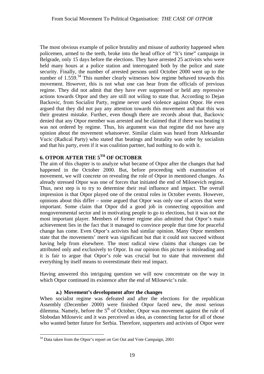The most obvious example of police brutality and misuse of authority happened when policemen, armed to the teeth, broke into the head office of "It's time" campaign in Belgrade, only 15 days before the elections. They have arrested 25 activists who were held many hours at a police station and interrogated both by the police and state security. Finally, the number of arrested persons until October 2000 went up to the number of  $1.559<sup>34</sup>$ . This number clearly witnesses how regime behaved towards this movement. However, this is not what one can hear from the officials of previous regime. They did not admit that they have ever suppressed or held any repressive actions towards Otpor and they are still not wiling to state that. According to Dejan Backovic, from Socialist Party, regime never used violence against Otpor. He even argued that they did not pay any attention towards this movement and that this was their greatest mistake. Further, even though there are records about that, Backovic denied that any Otpor member was arrested and he claimed that if there was beating it was not ordered by regime. Thus, his argument was that regime did not have any opinion about the movement whatsoever. Similar claim was heard from Aleksandar Vucic (Radical Party) who stated that beatings and brutality was order by socialists and that his party, even if it was coalition partner, had nothing to do with it.

## **6. OTPOR AFTER THE 5TH OF OCTOBER**

The aim of this chapter is to analyze what became of Otpor after the changes that had happened in the October 2000. But, before proceeding with examination of movement, we will concrete on revealing the role of Otpor in mentioned changes. As already stressed Otpor was one of forces that initiated the end of Milosevich regime. Thus, next step is to try to determine their real influence and impact. The overall impression is that Otpor played one of the central roles in October events. However, opinions about this differ – some argued that Otpor was only one of actors that were important. Some claim that Otpor did a good job in connecting opposition and nongovernmental sector and in motivating people to go to elections, but it was not the most important player. Members of former regime also admitted that Otpor's main achievement lies in the fact that it managed to convince people that time for peaceful change has come. Even Otpor's activists had similar opinion. Many Otpor members state that the movements' merit was significant but that it could not succeed without having help from elsewhere. The most radical view claims that changes can be attributed only and exclusively to Otpor. In our opinion this picture is misleading and it is fair to argue that Otpor's role was crucial but to state that movement did everything by itself means to overestimate their real impact.

Having answered this intriguing question we will now concentrate on the way in which Otpor continued its existence after the end of Milosevic's rule.

#### **a.) Movement's development after the changes**

When socialist regime was defeated and after the elections for the republican Assembly (December 2000) were finished Otpor faced new, the most serious dilemma. Namely, before the  $5<sup>th</sup>$  of October, Otpor was movement against the rule of Slobodan Milosevic and it was perceived as idea, as connecting factor for all of those who wanted better future for Serbia. Therefore, supporters and activists of Otpor were

 $34$  Data taken from the Otpor's report on Get Out and Vote Campaign, 2001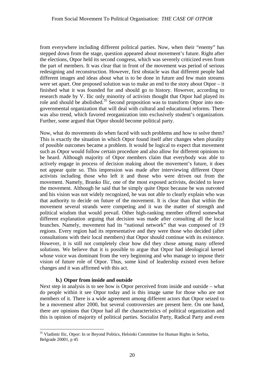from everywhere including different political parties. Now, when their "enemy" has stepped down from the stage, question appeared about movement's future. Right after the elections, Otpor held its second congress, which was severely criticized even from the part of members. It was clear that in front of the movement was period of serious redesigning and reconstruction. However, first obstacle was that different people had different images and ideas about what is to be done in future and few main streams were set apart. One proposed solution was to make an end to the story about Otpor – it finished what it was founded for and should go to history. However, according to research made by V. Ilic only minority of activists thought that Otpor had played its role and should be abolished.<sup>35</sup> Second proposition was to transform Otpor into nongovernmental organization that will deal with cultural and educational reforms. There was also trend, which favored reorganization into exclusively student's organization. Further, some argued that Otpor should become political party.

Now, what do movements do when faced with such problems and how to solve them? This is exactly the situation in which Otpor found itself after changes when plurality of possible outcomes became a problem. It would be logical to expect that movement such as Otpor would follow certain procedure and also allow for different opinions to be heard. Although majority of Otpor members claim that everybody was able to actively engage in process of decision making about the movement's future, it does not appear quite so. This impression was made after interviewing different Otpor activists including those who left it and those who were driven out from the movement. Namely, Branko Ilic, one of the most exposed activists, decided to leave the movement. Although he said that he simply quite Otpor because he was outvoted and his vision was not widely recognized, he was not able to clearly explain who was that authority to decide on future of the movement. It is clear than that within the movement several strands were competing and it was the matter of strength and political wisdom that would prevail. Other high-ranking member offered somewhat different explanation arguing that decision was made after consulting all the local branches. Namely, movement had its "national network" that was composed of 19 regions. Every region had its representative and they were those who decided (after consultations with their local members) that Otpor should continue with its existence. However, it is still not completely clear how did they chose among many offered solutions. We believe that it is possible to argue that Otpor had ideological kernel whose voice was dominant from the very beginning and who manage to impose their vision of future role of Otpor. Thus, some kind of leadership existed even before changes and it was affirmed with this act.

#### **b.) Otpor from inside and outside**

Next step in analysis is to see how is Otpor perceived from inside and outside – what do people within it see Otpor today and is this image same for those who are not members of it. There is a wide agreement among different actors that Otpor seized to be a movement after 2000, but several controversies are present here. On one hand, there are opinions that Otpor had all the characteristics of political organization and this is opinion of majority of political parties. Socialist Party, Radical Party and even

 $\overline{a}$ <sup>35</sup> Vladimir Ilic, Otpor: In or Bevond Politics, Helsinki Committee for Human Rights in Serbia, Belgrade 20001, p 45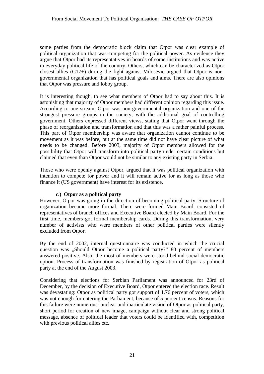some parties from the democratic block claim that Otpor was clear example of political organization that was competing for the political power. As evidence they argue that Otpor had its representatives in boards of some institutions and was active in everyday political life of the country. Others, which can be characterized as Otpor closest allies (G17+) during the fight against Milosevic argued that Otpor is nongovernmental organization that has political goals and aims. There are also opinions that Otpor was pressure and lobby group.

It is interesting though, to see what members of Otpor had to say about this. It is astonishing that majority of Otpor members had different opinion regarding this issue. According to one stream, Otpor was non-governmental organization and one of the strongest pressure groups in the society, with the additional goal of controlling government. Others expressed different views, stating that Otpor went through the phase of reorganization and transformation and that this was a rather painful process. This part of Otpor membership was aware that organization cannot continue to be movement as it was before, but at the same time did not have clear picture of what needs to be changed. Before 2003, majority of Otpor members allowed for the possibility that Otpor will transform into political party under certain conditions but claimed that even than Otpor would not be similar to any existing party in Serbia.

Those who were openly against Otpor, argued that it was political organization with intention to compete for power and it will remain active for as long as those who finance it (US government) have interest for its existence.

#### **c.) Otpor as a political party**

However, Otpor was going in the direction of becoming political party. Structure of organization became more formal. There were formed Main Board, consisted of representatives of branch offices and Executive Board elected by Main Board. For the first time, members got formal membership cards. During this transformation, very number of activists who were members of other political parties were silently excluded from Otpor.

By the end of 2002, internal questionnaire was conducted in which the crucial question was "Should Otpor become a political party?" 80 percent of members answered positive. Also, the most of members were stood behind social-democratic option. Process of transformation was finished by registration of Otpor as political party at the end of the August 2003.

Considering that elections for Serbian Parliament was announced for 23rd of December, by the decision of Executive Board, Otpor entered the election race. Result was devastating: Otpor as political party got support of 1.76 percent of voters, which was not enough for entering the Parliament, because of 5 percent census. Reasons for this failure were numerous: unclear and inarticulate vision of Otpor as political party, short period for creation of new image, campaign without clear and strong political message, absence of political leader that voters could be identified with, competition with previous political allies etc.